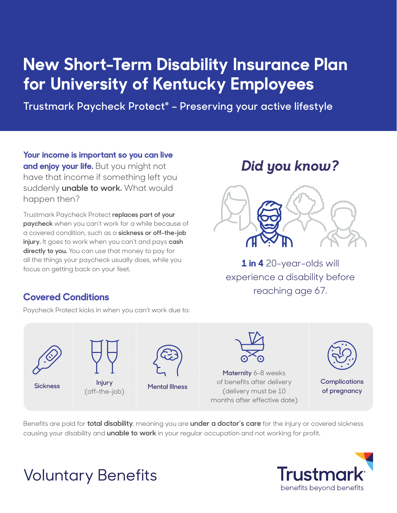# **New Short-Term Disability Insurance Plan for University of Kentucky Employees**

**Trustmark Paycheck Protect® – Preserving your active lifestyle**

**Your income is important so you can live and enjoy your life.** But you might not have that income if something left you suddenly **unable to work.** What would happen then?

Trustmark Paycheck Protect **replaces part of your paycheck** when you can't work for a while because of a covered condition, such as a **sickness or off-the-job injury.** It goes to work when you can't and pays **cash directly to you.** You can use that money to pay for all the things your paycheck usually does, while you focus on getting back on your feet.

## *Did you know?*



**1 in 4** 20-year-olds will experience a disability before reaching age 67.

#### **Covered Conditions**

Paycheck Protect kicks in when you can't work due to:





**Injury** (off-the-job)



**Sickness Mental Illness**



**Maternity** 6-8 weeks of benefits after delivery (delivery must be 10 months after effective date)



**Complications of pregnancy**

Benefits are paid for **total disability**, meaning you are **under a doctor's care** for the injury or covered sickness causing your disability and **unable to work** in your regular occupation and not working for profit.